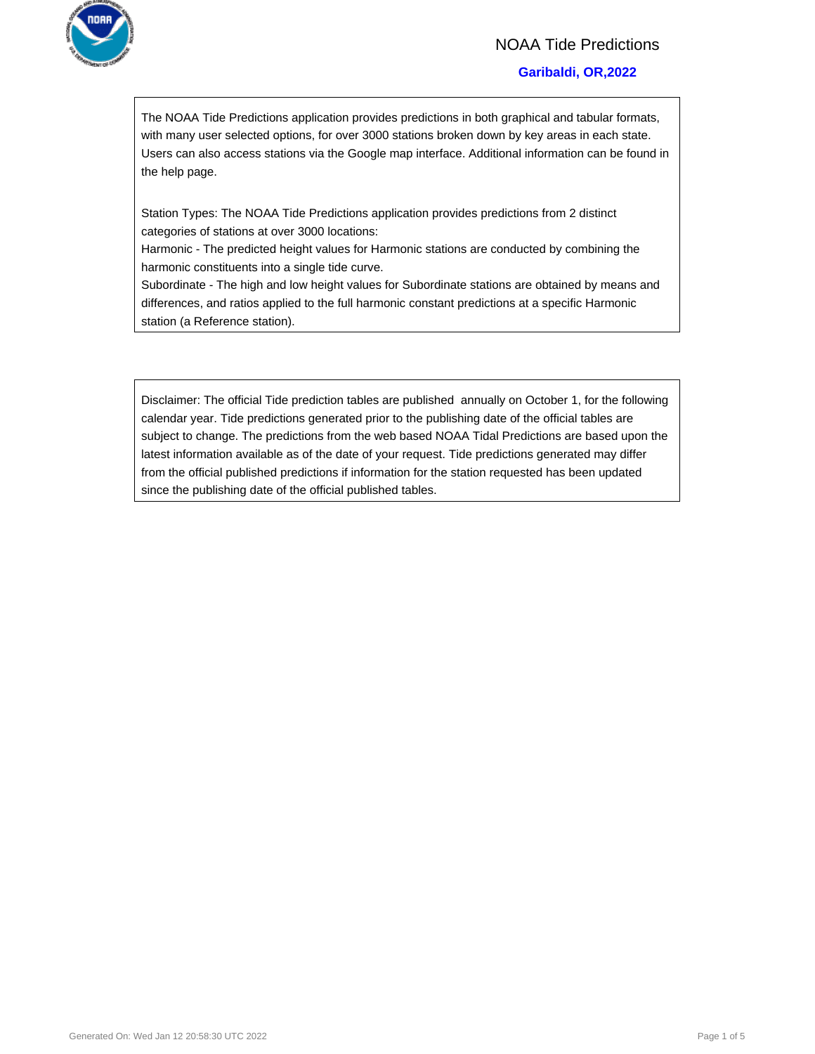

# NOAA Tide Predictions

#### **Garibaldi, OR,2022**

The NOAA Tide Predictions application provides predictions in both graphical and tabular formats, with many user selected options, for over 3000 stations broken down by key areas in each state. Users can also access stations via the Google map interface. Additional information can be found in the help page.

Station Types: The NOAA Tide Predictions application provides predictions from 2 distinct categories of stations at over 3000 locations:

Harmonic - The predicted height values for Harmonic stations are conducted by combining the harmonic constituents into a single tide curve.

Subordinate - The high and low height values for Subordinate stations are obtained by means and differences, and ratios applied to the full harmonic constant predictions at a specific Harmonic station (a Reference station).

Disclaimer: The official Tide prediction tables are published annually on October 1, for the following calendar year. Tide predictions generated prior to the publishing date of the official tables are subject to change. The predictions from the web based NOAA Tidal Predictions are based upon the latest information available as of the date of your request. Tide predictions generated may differ from the official published predictions if information for the station requested has been updated since the publishing date of the official published tables.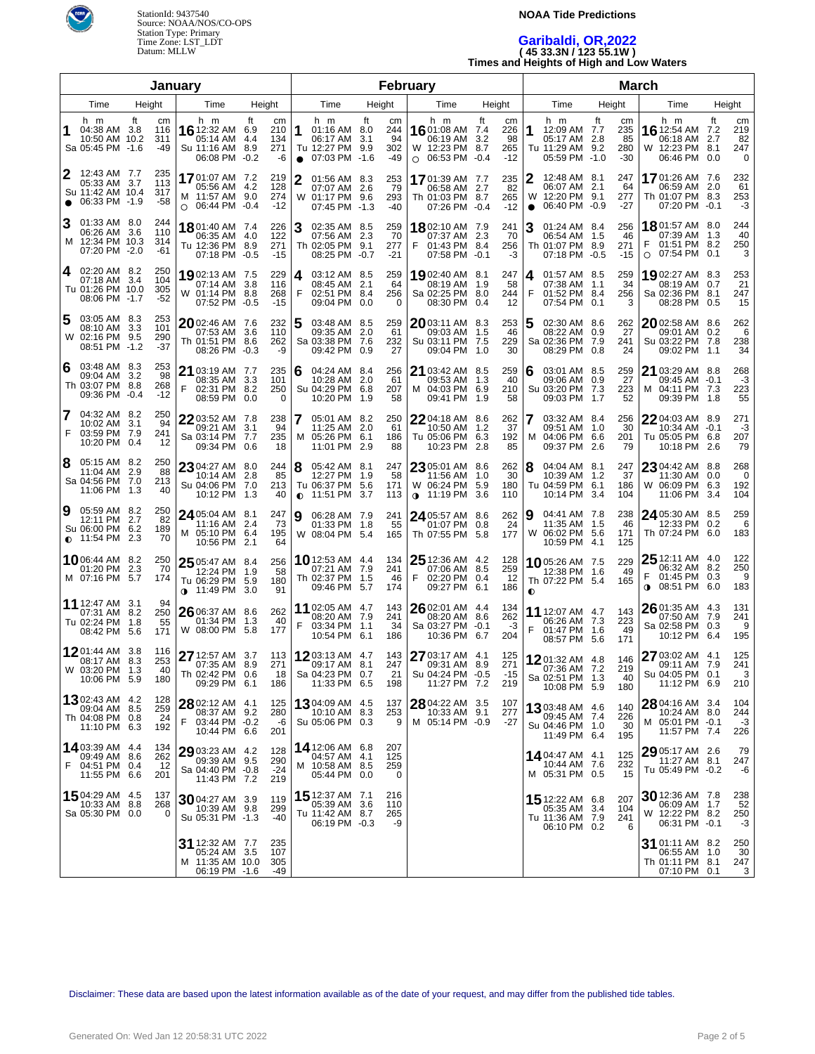

#### **NOAA Tide Predictions**

# **Garibaldi, OR,2022 ( 45 33.3N / 123 55.1W ) Times and Heights of High and Low Waters**

| January        |                                                                           |                               |                                                                                                 | February                                                           |                                                                                   |                                                   |                                                                            | <b>March</b>                                           |                                                                          |                                              |                                                                                 |                                                               |
|----------------|---------------------------------------------------------------------------|-------------------------------|-------------------------------------------------------------------------------------------------|--------------------------------------------------------------------|-----------------------------------------------------------------------------------|---------------------------------------------------|----------------------------------------------------------------------------|--------------------------------------------------------|--------------------------------------------------------------------------|----------------------------------------------|---------------------------------------------------------------------------------|---------------------------------------------------------------|
| Height<br>Time |                                                                           | Time                          | Height                                                                                          | Height<br>Time                                                     |                                                                                   | Time                                              | Height                                                                     | Time                                                   | Height                                                                   | Time                                         | Height                                                                          |                                                               |
| 1              | h m<br>04:38 AM 3.8<br>10:50 AM 10.2<br>Sa 05:45 PM -1.6                  | ft<br>cm<br>116<br>311<br>-49 | h m<br>16 12:32 AM<br>05:14 AM<br>Su 11:16 AM<br>06:08 PM                                       | ft<br>cm<br>6.9<br>210<br>134<br>4.4<br>271<br>8.9<br>$-0.2$<br>-6 | h m<br>1<br>01:16 AM 8.0<br>06:17 AM<br>Tu 12:27 PM<br>07:03 PM -1.6<br>$\bullet$ | ft<br>cm<br>244<br>94<br>3.1<br>302<br>9.9<br>-49 | h m<br>1601:08 AM 7.4<br>06:19 AM<br>W 12:23 PM 8.7<br>06:53 PM<br>$\circ$ | ft<br>сm<br>226<br>3.2<br>98<br>265<br>$-0.4$<br>$-12$ | h m<br>12:09 AM 7.7<br>1<br>05:17 AM 2.8<br>Tu 11:29 AM<br>05:59 PM -1.0 | ft<br>cm<br>235<br>85<br>280<br>9.2<br>$-30$ | h m<br><b>16</b> 12:54 AM<br>06:18 AM<br>W 12:23 PM<br>06:46 PM                 | ft<br>cm<br>219<br>7.2<br>82<br>2.7<br>247<br>8.1<br>0.0<br>0 |
| 2              | 12:43 AM 7.7<br>05:33 AM 3.7<br>Su 11:42 AM 10.4<br>06:33 PM -1.9         | 235<br>113<br>317<br>-58      | 1701:07 AM 7.2<br>05:56 AM<br>M 11:57 AM<br>$\circ$ 06:44 PM                                    | 219<br>4.2<br>128<br>9.0<br>274<br>$-0.4$<br>$-12$                 | 2<br>01:56 AM 8.3<br>07:07 AM 2.6<br>W<br>01:17 PM 9.6<br>07:45 PM -1.3           | 253<br>-79<br>293<br>$-40$                        | 1701:39 AM 7.7<br>06:58 AM 2.7<br>Th 01:03 PM 8.7<br>07:26 PM              | 235<br>82<br>265<br>$-12$<br>$-0.4$                    | 12:48 AM 8.1<br>06:07 AM<br>W 12:20 PM 9.1<br>06:40 PM -0.9<br>$\bullet$ | 247<br>2.1<br>64<br>277<br>-27               | 1701:26 AM 7.6<br>06:59 AM<br>Th 01:07 PM 8.3<br>07:20 PM -0.1                  | 232<br>61<br>2.0<br>253<br>-3                                 |
| 3              | 01:33 AM 8.0<br>06:26 AM 3.6<br>M 12:34 PM 10.3<br>07:20 PM -2.0          | 244<br>110<br>314<br>-61      | 1801:40 AM 7.4<br>06:35 AM<br>Tu 12:36 PM<br>07:18 PM                                           | 226<br>122<br>4.0<br>271<br>8.9<br>$-0.5$<br>$-15$                 | 3<br>02:35 AM 8.5<br>07:56 AM 2.3<br>Th 02:05 PM 9.1<br>08:25 PM -0.7             | 259<br>70<br>277<br>$-21$                         | 1802:10 AM 7.9<br>07:37 AM 2.3<br>F<br>01:43 PM 8.4<br>07:58 PM            | 241<br>70<br>256<br>-3<br>$-0.1$                       | 3<br>01:24 AM 8.4<br>06:54 AM 1.5<br>Th 01:07 PM 8.9<br>07:18 PM -0.5    | 256<br>46<br>271<br>$-15$                    | 1801:57 AM 8.0<br>07:39 AM 1.3<br>01:51 PM 8.2<br>07:54 PM<br>$\circ$           | 244<br>40<br>250<br>3<br>0.1                                  |
| 4              | 02:20 AM 8.2<br>07:18 AM 3.4<br>Tu 01:26 PM 10.0<br>08:06 PM -1.7         | 250<br>104<br>305<br>-52      | 1902:13 AM 7.5<br>07:14 AM<br>W 01:14 PM<br>07:52 PM                                            | 229<br>3.8<br>116<br>268<br>8.8<br>$-0.5$<br>$-15$                 | 4<br>03:12 AM 8.5<br>08:45 AM 2.1<br>F<br>02:51 PM 8.4<br>09:04 PM                | 259<br>64<br>256<br>0.0<br>0                      | 1902:40 AM 8.1<br>08:19 AM 1.9<br>Sa 02:25 PM 8.0<br>08:30 PM              | 247<br>58<br>244<br>12<br>0.4                          | 01:57 AM 8.5<br>4<br>07:38 AM 1.1<br>F<br>01:52 PM 8.4<br>07:54 PM       | 259<br>34<br>256<br>0.1<br>3                 | 1902:27 AM 8.3<br>08:19 AM<br>Sa 02:36 PM<br>08:28 PM                           | 253<br>21<br>0.7<br>8.1<br>247<br>15<br>0.5                   |
| 5              | 03:05 AM 8.3<br>08:10 AM 3.3<br>W 02:16 PM 9.5<br>08:51 PM -1.2           | 253<br>101<br>290<br>$-37$    | $2002:46$ AM 7.6<br>07:53 AM<br>Th 01:51 PM 8.6<br>08:26 PM                                     | 232<br>3.6<br>110<br>262<br>$-0.3$<br>-9                           | 5<br>03:48 AM 8.5<br>09:35 AM 2.0<br>Sa 03:38 PM 7.6<br>09:42 PM                  | 259<br>61<br>232<br>27<br>0.9                     | 2003:11 AM 8.3<br>09:03 AM 1.5<br>Su 03:11 PM 7.5<br>09:04 PM              | 253<br>46<br>229<br>30<br>1.0                          | 5<br>02:30 AM 8.6<br>08:22 AM<br>Sa 02:36 PM<br>08:29 PM                 | 262<br>27<br>0.9<br>7.9<br>241<br>24<br>0.8  | $2002:58$ AM $8.6$<br>09:01 AM 0.2<br>Su 03:22 PM 7.8<br>09:02 PM 1.1           | 262<br>6<br>238<br>34                                         |
| 6              | 03:48 AM 8.3<br>09:04 AM 3.2<br>Th 03:07 PM 8.8<br>09:36 PM -0.4          | 253<br>98<br>268<br>$-12$     | 21 03:19 AM 7.7<br>08:35 AM<br>F<br>02:31 PM<br>08:59 PM                                        | 235<br>3.3<br>101<br>250<br>8.2<br>0<br>0.0                        | 6<br>04:24 AM 8.4<br>10:28 AM 2.0<br>Su 04:29 PM 6.8<br>10:20 PM                  | 256<br>61<br>207<br>58<br>1.9                     | <b>21</b> 03:42 AM 8.5<br>09:53 AM 1.3<br>M 04:03 PM 6.9<br>09:41 PM       | 259<br>40<br>210<br>58<br>1.9                          | 03:01 AM 8.5<br>6<br>09:06 AM<br>Su 03:20 PM<br>09:03 PM                 | 259<br>27<br>0.9<br>7.3<br>223<br>52<br>1.7  | 21 03:29 AM 8.8<br>09:45 AM -0.1<br>04:11 PM 7.3<br>м<br>09:39 PM 1.8           | 268<br>$-3$<br>223<br>55                                      |
| 7<br>F         | 04:32 AM 8.2<br>10:02 AM 3.1<br>03:59 PM 7.9<br>10:20 PM 0.4              | 250<br>94<br>241<br>12        | 22 03:52 AM 7.8<br>09:21 AM<br>Sa 03:14 PM<br>09:34 PM                                          | 238<br>3.1<br>94<br>235<br>7.7<br>0.6<br>18                        | 7<br>05:01 AM 8.2<br>11:25 AM 2.0<br>05:26 PM 6.1<br>м<br>11:01 PM                | 250<br>61<br>186<br>2.9<br>88                     | $2204:18$ AM $8.6$<br>10:50 AM 1.2<br>Tu 05:06 PM 6.3<br>10:23 PM          | 262<br>37<br>192<br>85<br>2.8                          | 7<br>03:32 AM 8.4<br>09:51 AM 1.0<br>04:06 PM 6.6<br>м<br>09:37 PM       | 256<br>30<br>201<br>79<br>2.6                | 22 04:03 AM 8.9<br>10:34 AM -0.1<br>Tu 05:05 PM<br>10:18 PM                     | 271<br>-3<br>207<br>6.8<br>79<br>2.6                          |
| 8              | 05:15 AM 8.2<br>11:04 AM 2.9<br>Sa 04:56 PM 7.0<br>11:06 PM 1.3           | 250<br>88<br>213<br>40        | $2304:27$ AM<br>10:14 AM<br>Su 04:06 PM<br>10:12 PM                                             | 8.0<br>244<br>2.8<br>85<br>7.0<br>213<br>40<br>1.3                 | 8<br>05:42 AM 8.1<br>12:27 PM 1.9<br>Tu 06:37 PM 5.6<br>11:51 PM<br>$\bullet$     | 247<br>58<br>171<br>3.7<br>113                    | 23 05:01 AM 8.6<br>11:56 AM 1.0<br>W 06:24 PM 5.9<br>$0$ 11:19 PM          | 262<br>30<br>180<br>3.6<br>110                         | 8<br>04:04 AM 8.1<br>10:39 AM<br>Tu 04:59 PM<br>10:14 PM                 | 247<br>37<br>1.2<br>6.1<br>186<br>104<br>3.4 | 23 04:42 AM 8.8<br>11:30 AM<br>W 06:09 PM<br>11:06 PM                           | 268<br>0.0<br>0<br>6.3<br>192<br>104<br>3.4                   |
| 9              | 05:59 AM 8.2<br>12:11 PM 2.7<br>Su 06:00 PM 6.2<br>$\bullet$ 11:54 PM 2.3 | 250<br>82<br>189<br>70        | 24 05:04 AM 8.1<br>11:16 AM<br>M 05:10 PM 6.4<br>10:56 PM                                       | 247<br>73<br>2.4<br>195<br>64<br>2.1                               | 9<br>06:28 AM 7.9<br>01:33 PM 1.8<br>W 08:04 PM 5.4                               | 241<br>55<br>165                                  | 24 05:57 AM 8.6<br>01:07 PM<br>Th 07:55 PM                                 | 262<br>24<br>0.8<br>5.8<br>177                         | 9<br>04:41 AM 7.8<br>11:35 AM<br>06:02 PM 5.6<br>W<br>10:59 PM 4.1       | 238<br>- 1.5<br>46<br>171<br>125             | 24 05:30 AM 8.5<br>12:33 PM 0.2<br>Th 07:24 PM                                  | 259<br>6<br>183<br>6.0                                        |
|                | 1006:44 AM 8.2<br>01:20 PM 2.3<br>M 07:16 PM 5.7                          | 250<br>70<br>174              | $25\frac{05:47 \text{ AM}}{0.21 \text{ N}}$ 8.4<br>12:24 PM<br>Tu 06:29 PM<br><b>0</b> 11:49 PM | 256<br>1.9<br>58<br>5.9<br>180<br>91<br>3.0                        | 10 12:53 AM 4.4<br>07:21 AM 7.9<br>Th 02:37 PM 1.5<br>09:46 PM 5.7                | 134<br>241<br>46<br>174                           | 25 12:36 AM 4.2<br>07:06 AM 8.5<br>F<br>02:20 PM 0.4<br>09:27 PM 6.1       | 128<br>259<br>12<br>186                                | 1005:26 AM 7.5<br>12:38 PM 1.6<br>Th 07:22 PM 5.4<br>$\bullet$           | 229<br>49<br>165                             | $2512:11$ AM $4.0$<br>06:32 AM 8.2<br>01:45 PM 0.3<br>08:51 PM 6.0<br>$\bullet$ | 122<br>250<br>9<br>183                                        |
|                | <b>11</b> 12:47 AM 3.1<br>07:31 AM 8.2<br>Tu 02:24 PM 1.8<br>08:42 PM 5.6 | 94<br>250<br>55<br>171        | $26$ 06:37 AM<br>01:34 PM<br>W 08:00 PM                                                         | 262<br>8.6<br>1.3<br>40<br>5.8<br>177                              | 11 02:05 AM 4.7<br>08:20 AM 7.9<br>F<br>03:34 PM 1.1<br>10:54 PM 6.1              | 143<br>241<br>34<br>186                           | 26 02:01 AM 4.4<br>08:20 AM 8.6<br>Sa 03:27 PM -0.1<br>10:36 PM 6.7        | 134<br>262<br>-3<br>204                                | 11 12:07 AM 4.7<br>06:26 AM 7.3<br>F<br>01:47 PM 1.6<br>08:57 PM 5.6     | 143<br>223<br>49<br>171                      | 26 01:35 AM 4.3<br>07:50 AM 7.9<br>Sa 02:58 PM 0.3<br>10:12 PM 6.4              | 131<br>241<br>9<br>195                                        |
|                | 1201:44 AM 3.8<br>08:17 AM 8.3<br>W 03:20 PM 1.3<br>10:06 PM 5.9          | 116<br>253<br>40<br>180       | 27 12:57 AM 3.7<br>07:35 AM 8.9<br>Th 02:42 PM 0.6<br>09:29 PM 6.1                              | 113<br>271<br>18<br>186                                            | 1203:13 AM 4.7<br>09:17 AM 8.1<br>Sa 04:23 PM 0.7<br>11:33 PM 6.5                 | 143<br>247<br>21<br>198                           | 27 03:17 AM 4.1<br>09:31 AM 8.9<br>Su 04:24 PM -0.5<br>11:27 PM 7.2        | 125<br>271<br>$-15$<br>219                             | 1201:32 AM 4.8<br>07:36 AM 7.2<br>Sa 02:51 PM 1.3<br>10:08 PM 5.9        | 146<br>219<br>40<br>180                      | 27 03:02 AM 4.1<br>09:11 AM 7.9<br>Su 04:05 PM 0.1<br>11:12 PM 6.9              | 125<br>241<br>3<br>210                                        |
|                | 1302:43 AM 4.2<br>09:04 AM 8.5<br>Th 04:08 PM 0.8<br>11:10 PM 6.3         | 128<br>259<br>24<br>192       | 28 02:12 AM 4.1<br>08:37 AM 9.2<br>03:44 PM -0.2<br>10:44 PM 6.6                                | 125<br>280<br>-6<br>201                                            | <b>13</b> 04:09 AM 4.5<br>10:10 AM 8.3<br>Su 05:06 PM 0.3                         | 137<br>253<br>9                                   | 28 04:22 AM 3.5<br>10:33 AM 9.1<br>M 05:14 PM -0.9                         | 107<br>277<br>$-27$                                    | 1303:48 AM 4.6<br>09:45 AM 7.4<br>Su 04:46 PM 1.0<br>11:49 PM 6.4        | 140<br>226<br>30<br>195                      | $28$ 04:16 AM 3.4<br>10:24 AM 8.0<br>M 05:01 PM -0.1<br>11:57 PM 7.4            | 104<br>244<br>$-3$<br>226                                     |
| F              | 14 03:39 AM 4.4<br>09:49 AM 8.6<br>04:51 PM 0.4<br>11:55 PM 6.6           | 134<br>262<br>-12<br>201      | 29 03:23 AM 4.2<br>09:39 AM 9.5<br>Sa 04:40 PM -0.8<br>11:43 PM 7.2                             | 128<br>290<br>$-24$<br>219                                         | 14 12:06 AM 6.8<br>04:57 AM 4.1<br>M 10:58 AM 8.5<br>05:44 PM 0.0                 | 207<br>125<br>259<br>0                            |                                                                            |                                                        | 14.04:47 AM 4.1<br>10:44 AM 7.6<br>M 05:31 PM 0.5                        | 125<br>232<br>15                             | 29 05:17 AM 2.6<br>11:27 AM 8.1<br>Tu 05:49 PM -0.2                             | 79<br>247<br>-6                                               |
|                | 1504:29 AM 4.5<br>10:33 AM 8.8<br>Sa 05:30 PM 0.0                         | 137<br>268<br>0               | 3004:27 AM 3.9<br>10:39 AM 9.8<br>Su 05:31 PM -1.3                                              | 119<br>299<br>-40                                                  | 15 12:37 AM 7.1<br>05:39 AM 3.6<br>Tu 11:42 AM 8.7<br>06:19 PM -0.3               | 216<br>110<br>265<br>-9                           |                                                                            |                                                        | 15 12:22 AM 6.8<br>05:35 AM 3.4<br>Tu 11:36 AM 7.9<br>06:10 PM 0.2       | 207<br>104<br>241<br>6                       | 30 12:36 AM 7.8<br>06:09 AM 1.7<br>W 12:22 PM 8.2<br>06:31 PM -0.1              | 238<br>52<br>250<br>-3                                        |
|                |                                                                           |                               | 31 12:32 AM 7.7<br>05:24 AM 3.5<br>M 11:35 AM 10.0<br>06:19 PM -1.6                             | 235<br>107<br>305<br>-49                                           |                                                                                   |                                                   |                                                                            |                                                        |                                                                          |                                              | <b>31</b> 01:11 AM 8.2<br>06:55 AM 1.0<br>Th 01:11 PM 8.1<br>07:10 PM 0.1       | 250<br>30<br>247<br>3                                         |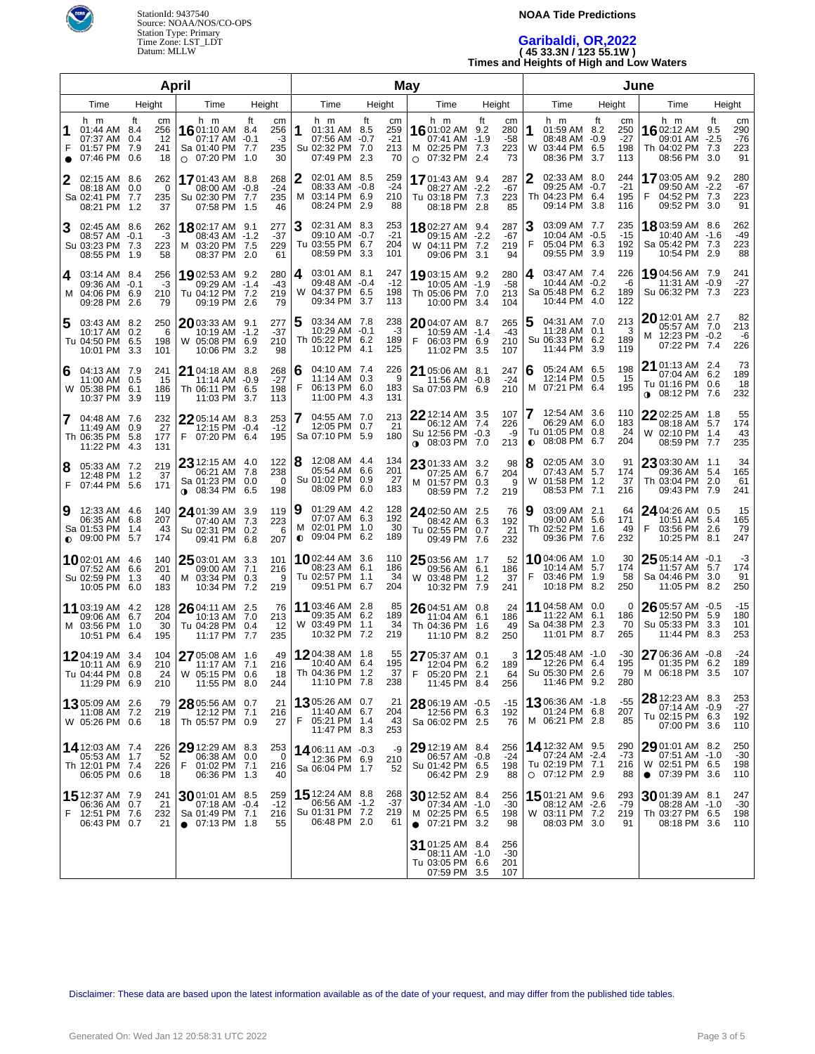

#### **NOAA Tide Predictions**

# **Garibaldi, OR,2022 ( 45 33.3N / 123 55.1W ) Times and Heights of High and Low Waters**

| April                                                                                                                                                                                                                                                                      |                                                                                                                             | May                                                                                                                     | June                                                                                                                           |                                                                                                                       |  |  |
|----------------------------------------------------------------------------------------------------------------------------------------------------------------------------------------------------------------------------------------------------------------------------|-----------------------------------------------------------------------------------------------------------------------------|-------------------------------------------------------------------------------------------------------------------------|--------------------------------------------------------------------------------------------------------------------------------|-----------------------------------------------------------------------------------------------------------------------|--|--|
| Height<br>Time<br>Time<br>Height                                                                                                                                                                                                                                           | Height<br>Time                                                                                                              | Time<br>Height                                                                                                          | Height<br>Time                                                                                                                 | Time<br>Height                                                                                                        |  |  |
| h m<br>ft<br>h m<br>ft<br>cm<br>cm<br>256<br>01:44 AM 8.4<br><b>16</b> 01:10 AM 8.4<br>256<br>07:37 AM<br>12<br>0.4<br>07:17 AM -0.1<br>-3<br>F<br>01:57 PM<br>235<br>7.9<br>241<br>Sa 01:40 PM 7.7<br>07:46 PM<br>30<br>0.6<br>18<br>07:20 PM 1.0<br>$\circ$<br>$\bullet$ | ft<br>h m<br>cm<br>259<br>1<br>01:31 AM 8.5<br>$-21$<br>07:56 AM -0.7<br>213<br>Su 02:32 PM<br>7.0<br>07:49 PM<br>2.3<br>70 | ft<br>h m<br>cm<br>1601:02 AM 9.2<br>280<br>07:41 AM -1.9<br>-58<br>223<br>M 02:25 PM 7.3<br>07:32 PM<br>73<br>2.4<br>O | h m<br>ft<br>cm<br>01:59 AM 8.2<br>1<br>250<br>$-27$<br>08:48 AM -0.9<br>W<br>03:44 PM<br>6.5<br>198<br>08:36 PM<br>3.7<br>113 | ft<br>h m<br>cm<br>1602:12 AM<br>290<br>9.5<br>$-76$<br>09:01 AM -2.5<br>223<br>Th 04:02 PM 7.3<br>08:56 PM 3.0<br>91 |  |  |
| 268<br>02:15 AM 8.6<br>262<br>2<br>1701:43 AM 8.8<br>$-24$<br>0.0<br>0<br>08:00 AM -0.8<br>08:18 AM<br>Sa 02:41 PM<br>Su 02:30 PM 7.7<br>235<br>7.7<br>235<br>08:21 PM<br>37<br>07:58 PM<br>46<br>1.5<br>1.2                                                               | 02:01 AM 8.5<br>259<br>$-24$<br>08:33 AM -0.8<br>м<br>03:14 PM 6.9<br>210<br>08:24 PM 2.9<br>88                             | 287<br>1701:43 AM 9.4<br>08:27 AM -2.2<br>$-67$<br>Tu 03:18 PM 7.3<br>223<br>08:18 PM<br>85<br>2.8                      | 2<br>02:33 AM 8.0<br>244<br>$-21$<br>09:25 AM -0.7<br>Th 04:23 PM<br>6.4<br>195<br>09:14 PM<br>3.8<br>116                      | 1703:05 AM 9.2<br>280<br>09:50 AM -2.2<br>-67<br>F<br>223<br>04:52 PM 7.3<br>09:52 PM 3.0<br>91                       |  |  |
| 3<br>02:45 AM 8.6<br>1802:17 AM 9.1<br>277<br>262<br>$-37$<br>$-0.1$<br>-3<br>08:43 AM -1.2<br>08:57 AM<br>Su 03:23 PM<br>7.3<br>223<br>229<br>03:20 PM 7.5<br>M<br>08:55 PM<br>58<br>08:37 PM<br>61<br>-1.9<br>-2.0                                                       | 02:31 AM 8.3<br>253<br>$-21$<br>09:10 AM -0.7<br>Tu 03:55 PM 6.7<br>204<br>08:59 PM 3.3<br>101                              | 1802:27 AM 9.4<br>287<br>09:15 AM -2.2<br>-67<br>W 04:11 PM 7.2<br>219<br>09:06 PM<br>94<br>3.1                         | З<br>03:09 AM 7.7<br>235<br>10:04 AM -0.5<br>$-15$<br>F<br>05:04 PM<br>6.3<br>192<br>09:55 PM<br>3.9<br>119                    | 18 03:59 AM 8.6<br>262<br>-49<br>10:40 AM -1.6<br>223<br>Sa 05:42 PM 7.3<br>10:54 PM 2.9<br>88                        |  |  |
| 280<br>03:14 AM 8.4<br>256<br>1902:53 AM 9.2<br>4<br>$-43$<br>09:36 AM<br>$-0.1$<br>-3<br>09:29 AM -1.4<br>M 04:06 PM<br>219<br>6.9<br>210<br>Tu 04:12 PM 7.2<br>09:28 PM<br>09:19 PM<br>79<br>2.6<br>79<br>2.6                                                            | 03:01 AM 8.1<br>247<br>4<br>$-12$<br>09:48 AM -0.4<br>198<br>W<br>04:37 PM 6.5<br>09:34 PM 3.7<br>113                       | 280<br>1903:15 AM 9.2<br>10:05 AM -1.9<br>$-58$<br>Th 05:06 PM 7.0<br>213<br>10:00 PM<br>104<br>3.4                     | 03:47 AM 7.4<br>226<br>4<br>10:44 AM -0.2<br>-6<br>Sa 05:48 PM<br>6.2<br>189<br>10:44 PM<br>4.0<br>122                         | 1904:56 AM 7.9<br>241<br>$-27$<br>11:31 AM -0.9<br>223<br>Su 06:32 PM 7.3                                             |  |  |
| 03:43 AM 8.2<br>250<br>2003:33 AM 9.1<br>277<br>5<br>$-37$<br>0.2<br>6<br>10:19 AM -1.2<br>10:17 AM<br>210<br>Tu 04:50 PM<br>6.5<br>198<br>05:08 PM 6.9<br>W<br>10:01 PM<br>10:06 PM<br>3.3<br>3.2<br>98<br>101                                                            | 5<br>03:34 AM 7.8<br>238<br>$-3$<br>10:29 AM -0.1<br>Th 05:22 PM 6.2<br>189<br>10:12 PM 4.1<br>125                          | 265<br>$2004:07$ AM 8.7<br>10:59 AM -1.4<br>-43<br>F<br>06:03 PM 6.9<br>210<br>11:02 PM<br>3.5<br>107                   | 04:31 AM 7.0<br>213<br>11:28 AM 0.1<br>3<br>Su 06:33 PM<br>6.2<br>189<br>11:44 PM<br>3.9<br>119                                | $20$ 12:01 AM 2.7<br>82<br>213<br>05:57 AM 7.0<br>M 12:23 PM -0.2<br>-6<br>07:22 PM 7.4<br>226                        |  |  |
| 268<br>04:13 AM 7.9<br><b>21</b> 04:18 AM 8.8<br>241<br>6<br>$-27$<br>11:00 AM<br>0.5<br>15<br>11:14 AM -0.9<br>W 05:38 PM<br>Th 06:11 PM 6.5<br>198<br>6.1<br>186<br>10:37 PM<br>11:03 PM<br>113<br>3.9<br>119<br>3.7                                                     | 04:10 AM 7.4<br>226<br>6<br>9<br>11:14 AM 0.3<br>F<br>06:13 PM 6.0<br>183<br>11:00 PM 4.3<br>131                            | 21 05:06 AM 8.1<br>247<br>$-24$<br>11:56 AM -0.8<br>Sa 07:03 PM 6.9<br>210                                              | 198<br>05:24 AM 6.5<br>6<br>12:14 PM 0.5<br>15<br>195<br>M 07:21 PM 6.4                                                        | 73<br><b>21</b> 01:13 AM 2.4<br>189<br>07:04 AM 6.2<br>18<br>Tu 01:16 PM 0.6<br><b>0</b> 08:12 PM 7.6<br>232          |  |  |
| 253<br>7<br>04:48 AM 7.6<br>232<br>$2205:14$ AM 8.3<br>27<br>12:15 PM -0.4<br>$-12$<br>0.9<br>11:49 AM<br>F<br>07:20 PM 6.4<br>Th 06:35 PM 5.8<br>177<br>195<br>11:22 PM<br>131<br>-4.3                                                                                    | 213<br>04:55 AM 7.0<br>21<br>12:05 PM 0.7<br>180<br>Sa 07:10 PM 5.9                                                         | 22 12:14 AM 3.5<br>107<br>226<br>06:12 AM 7.4<br>Su 12:56 PM -0.3<br>-9<br>213<br>$0.08:03$ PM 7.0                      | 12:54 AM 3.6<br>110<br>06:29 AM 6.0<br>183<br>24<br>Tu 01:05 PM<br>0.8<br>08:08 PM<br>6.7<br>204<br>$\bullet$                  | $2202:25$ AM $1.8$<br>55<br>174<br>08:18 AM 5.7<br>W 02:10 PM 1.4<br>43<br>235<br>08:59 PM 7.7                        |  |  |
| 122<br>$23$ 12:15 AM 4.0<br>219<br>05:33 AM 7.2<br>8<br>238<br>06:21 AM 7.8<br>37<br>12:48 PM 1.2<br>Sa 01:23 PM 0.0<br>- 0<br>F<br>07:44 PM 5.6<br>171<br>$0.08:34$ PM 6.5<br>198                                                                                         | 8<br>12:08 AM 4.4<br>134<br>201<br>05:54 AM 6.6<br>Su 01:02 PM 0.9<br>27<br>08:09 PM 6.0<br>183                             | 23 01:33 AM 3.2<br>98<br>07:25 AM 6.7<br>204<br>M 01:57 PM 0.3<br>9<br>08:59 PM 7.2<br>219                              | 02:05 AM 3.0<br>8<br>-91<br>5.7<br>07:43 AM<br>174<br>01:58 PM<br>37<br>1.2<br>W<br>08:53 PM 7.1<br>216                        | 23 03:30 AM 1.1<br>34<br>165<br>09:36 AM 5.4<br>Th 03:04 PM 2.0<br>61<br>09:43 PM 7.9<br>241                          |  |  |
| 12:33 AM 4.6<br>9<br>140<br>$24$ 01:39 AM 3.9<br>119<br>06:35 AM 6.8<br>207<br>223<br>07:40 AM 7.3<br>Sa 01:53 PM<br>1.4<br>43<br>Su 02:31 PM 0.2<br>6<br>$\bullet$ 09:00 PM 5.7<br>174<br>09:41 PM 6.8<br>207                                                             | 19<br>01:29 AM 4.2<br>128<br>07:07 AM 6.3<br>192<br>30<br>02:01 PM 1.0<br>м<br>09:04 PM 6.2<br>189<br>$\bullet$             | 24 02:50 AM 2.5<br>76<br>08:42 AM 6.3<br>192<br>Tu 02:55 PM 0.7<br>21<br>09:49 PM 7.6<br>232                            | 03:09 AM 2.1<br>9<br>64<br>5.6<br>09:00 AM<br>171<br>Th 02:52 PM<br>1.6<br>49<br>09:36 PM 7.6<br>232                           | 15<br>24 04:26 AM 0.5<br>165<br>10:51 AM 5.4<br>F<br>03:56 PM 2.6<br>79<br>247<br>10:25 PM 8.1                        |  |  |
| 25 03:01 AM 3.3<br>101<br>1002:01 AM 4.6<br>140<br>216<br>07:52 AM 6.6<br>201<br>09:00 AM 7.1<br>Su 02:59 PM 1.3<br>M 03:34 PM 0.3<br>40<br>9<br>10:05 PM 6.0<br>10:34 PM 7.2<br>183<br>219                                                                                | <b>10</b> 02:44 AM 3.6<br>110<br>186<br>08:23 AM 6.1<br>Tu 02:57 PM 1.1<br>34<br>09:51 PM 6.7<br>204                        | 25 03:56 AM 1.7<br>52<br>09:56 AM 6.1<br>186<br>W 03:48 PM 1.2<br>37<br>10:32 PM 7.9<br>241                             | 1004:06 AM 1.0<br>30<br>5.7<br>174<br>10:14 AM<br>F<br>03:46 PM<br>1.9<br>58<br>10:18 PM 8.2<br>250                            | 25 05:14 AM -0.1<br>$-3$<br>174<br>11:57 AM 5.7<br>Sa 04:46 PM 3.0<br>91<br>250<br>11:05 PM 8.2                       |  |  |
| 26 04:11 AM 2.5<br>11 03:19 AM 4.2<br>128<br>76<br>09:06 AM 6.7<br>204<br>213<br>10:13 AM 7.0<br>30<br>M 03:56 PM<br>Tu 04:28 PM 0.4<br>12<br>1.0<br>10:51 PM 6.4<br>11:17 PM 7.7<br>235<br>195                                                                            | 85<br><b>11</b> 03:46 AM 2.8<br>09:35 AM 6.2<br>189<br>W 03:49 PM 1.1<br>34<br>10:32 PM 7.2<br>219                          | 26 04:51 AM 0.8<br>24<br>11:04 AM 6.1<br>186<br>Th 04:36 PM 1.6<br>49<br>11:10 PM 8.2<br>250                            | 11 04:58 AM 0.0<br>0<br>6.1<br>186<br>11:22 AM<br>Sa 04:38 PM<br>2.3<br>70<br>11:01 PM 8.7<br>265                              | 26 05:57 AM -0.5<br>$-15$<br>12:50 PM 5.9<br>180<br>101<br>Su 05:33 PM 3.3<br>11:44 PM 8.3<br>253                     |  |  |
| 1204:19 AM 3.4<br>27 05:08 AM 1.6<br>49<br>104<br>210<br>216<br>10:11 AM 6.9<br>11:17 AM 7.1<br>Tu 04:44 PM 0.8<br>W 05:15 PM 0.6<br>24<br>18<br>11:29 PM 6.9<br>210<br>11:55 PM 8.0<br>244                                                                                | 1204:38 AM 1.8<br>55<br>10:40 AM 6.4<br>195<br>Th 04:36 PM 1.2<br>37<br>11:10 PM 7.8<br>238                                 | 27 05:37 AM 0.1<br>3<br>12:04 PM 6.2<br>189<br>F<br>05:20 PM 2.1<br>64<br>11:45 PM 8.4<br>256                           | 1205:48 AM -1.0<br>-30<br>12:26 PM 6.4<br>195<br>Su 05:30 PM 2.6<br>79<br>11:46 PM 9.2<br>280                                  | 27 06:36 AM -0.8<br>$-24$<br>01:35 PM 6.2<br>189<br>M 06:18 PM 3.5<br>107                                             |  |  |
| 1305:09 AM 2.6<br>79<br>28 05:56 AM 0.7<br>21<br>11:08 AM 7.2<br>219<br>12:12 PM 7.1<br>216<br>W 05:26 PM 0.6<br>Th 05:57 PM 0.9<br>27<br>18                                                                                                                               | 1305:26 AM 0.7<br>21<br>204<br>11:40 AM 6.7<br>F<br>05:21 PM 1.4<br>43<br>253<br>11:47 PM 8.3                               | $-15$<br>28 06:19 AM -0.5<br>12:56 PM 6.3<br>192<br>76<br>Sa 06:02 PM 2.5                                               | 1306:36 AM -1.8<br>-55<br>207<br>01:24 PM 6.8<br>M 06:21 PM 2.8<br>85                                                          | 253<br>28 12:23 AM 8.3<br>$-27$<br>07:14 AM -0.9<br>Tu 02:15 PM 6.3<br>192<br>07:00 PM 3.6<br>110                     |  |  |
| 14 12:03 AM 7.4<br>29 12:29 AM 8.3<br>226<br>253<br>05:53 AM 1.7<br>52<br>06:38 AM 0.0<br>0<br>Th 12:01 PM 7.4<br>226<br>F<br>01:02 PM 7.1<br>216<br>06:05 PM 0.6<br>06:36 PM 1.3<br>18<br>40                                                                              | 1406:11 AM -0.3<br>-9<br>210<br>12:36 PM 6.9<br>Sa 06:04 PM 1.7<br>52                                                       | 29 12:19 AM 8.4<br>256<br>$-24$<br>06:57 AM -0.8<br>Su 01:42 PM 6.5<br>198<br>06:42 PM 2.9<br>88                        | 14 12:32 AM 9.5<br>290<br>07:24 AM -2.4<br>-73<br>Tu 02:19 PM 7.1<br>216<br>O 07:12 PM 2.9<br>88                               | $2901:01$ AM 8.2<br>250<br>$-30$<br>07:51 AM -1.0<br>W 02:51 PM 6.5<br>198<br>● 07:39 PM 3.6<br>110                   |  |  |
| 1512:37 AM 7.9<br>3001:01 AM 8.5<br>259<br>241<br>06:36 AM 0.7<br>21<br>07:18 AM -0.4<br>$-12$<br>F<br>12:51 PM 7.6<br>232<br>Sa 01:49 PM 7.1<br>216<br>06:43 PM 0.7<br>21<br>$\bullet$ 07:13 PM 1.8<br>55                                                                 | <b>15</b> 12:24 AM 8.8<br>268<br>06:56 AM -1.2<br>-37<br>Su 01:31 PM 7.2<br>219<br>06:48 PM 2.0<br>61                       | 30 12:52 AM 8.4<br>256<br>07:34 AM -1.0<br>$-30$<br>M 02:25 PM 6.5<br>198<br>$\bullet$ 07:21 PM 3.2<br>98               | 1501:21 AM 9.6<br>293<br>08:12 AM -2.6<br>-79<br>W 03:11 PM 7.2<br>219<br>08:03 PM 3.0<br>91                                   | 30 01:39 AM 8.1<br>247<br>08:28 AM -1.0<br>$-30$<br>Th 03:27 PM 6.5<br>198<br>08:18 PM 3.6<br>110                     |  |  |
|                                                                                                                                                                                                                                                                            |                                                                                                                             | 31 01:25 AM 8.4<br>256<br>-30<br>08:11 AM -1.0<br>Tu 03:05 PM 6.6<br>201<br>07:59 PM 3.5<br>107                         |                                                                                                                                |                                                                                                                       |  |  |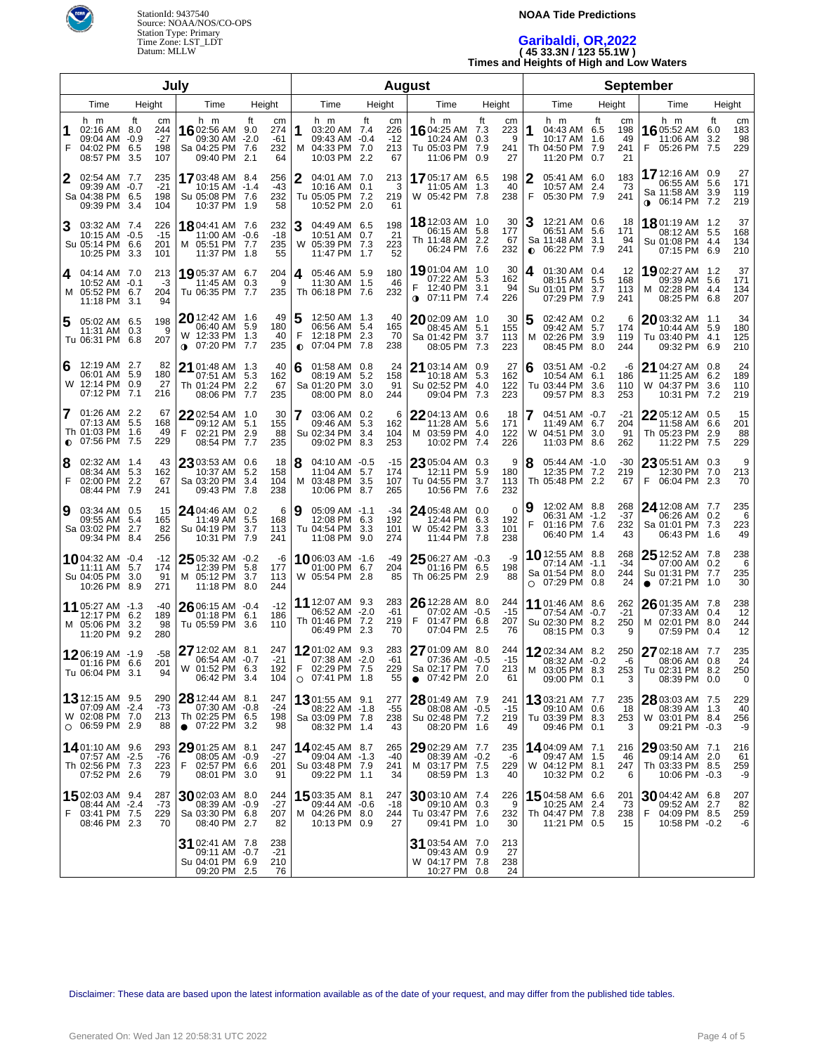

#### **NOAA Tide Predictions**

### **Garibaldi, OR,2022 ( 45 33.3N / 123 55.1W ) Times and Heights of High and Low Waters**

| July   |                                                                                   |                      |                                  |                                                                               | <b>August</b>                                          |        |                                                                            |            | <b>September</b>                |                                                                                  |                  |                                  |                                                                                       |                                                  |                                                                                 |            |                         |
|--------|-----------------------------------------------------------------------------------|----------------------|----------------------------------|-------------------------------------------------------------------------------|--------------------------------------------------------|--------|----------------------------------------------------------------------------|------------|---------------------------------|----------------------------------------------------------------------------------|------------------|----------------------------------|---------------------------------------------------------------------------------------|--------------------------------------------------|---------------------------------------------------------------------------------|------------|-------------------------|
|        | Time                                                                              |                      | Height                           | Time                                                                          | Height                                                 |        | Time                                                                       |            | Height                          | Time                                                                             | Height           |                                  | Time                                                                                  | Height                                           | Time                                                                            | Height     |                         |
| 1<br>F | h m<br>02:16 AM 8.0<br>09:04 AM -0.9<br>04:02 PM<br>08:57 PM                      | ft<br>6.5<br>3.5     | cm<br>244<br>$-27$<br>198<br>107 | h m<br>16 02:56 AM 9.0<br>09:30 AM<br>Sa 04:25 PM 7.6<br>09:40 PM             | ft<br>cm<br>274<br>$-61$<br>$-2.0$<br>232<br>64<br>2.1 | 1      | h m<br>03:20 AM 7.4<br>09:43 AM -0.4<br>04:33 PM 7.0<br>M<br>10:03 PM 2.2  | ft         | сm<br>226<br>$-12$<br>213<br>67 | h m<br>16 04:25 AM 7.3<br>10:24 AM<br>Tu 05:03 PM 7.9<br>11:06 PM                | ft<br>0.3<br>0.9 | cm<br>223<br>9<br>241<br>27      | h m<br>1<br>04:43 AM 6.5<br>10:17 AM<br>Th 04:50 PM 7.9<br>11:20 PM                   | ft<br>cm<br>198<br>1.6<br>49<br>241<br>21<br>0.7 | h m<br>16 05:52 AM 6.0<br>11:06 AM<br>05:26 PM 7.5<br>F                         | ft<br>-3.2 | cm<br>183<br>98<br>229  |
| 2      | 02:54 AM 7.7<br>09:39 AM -0.7<br>Sa 04:38 PM 6.5<br>09:39 PM 3.4                  |                      | 235<br>$-21$<br>198<br>104       | 1703:48 AM 8.4<br>10:15 AM -1.4<br>Su 05:08 PM 7.6<br>10:37 PM 1.9            | 256<br>$-43$<br>232<br>58                              |        | 2<br>04:01 AM 7.0<br>10:16 AM<br>Tu 05:05 PM 7.2<br>10:52 PM 2.0           | 0.1        | 213<br>3<br>219<br>61           | 1705:17 AM 6.5<br>11:05 AM<br>W 05:42 PM 7.8                                     | 1.3              | 198<br>40<br>238                 | 05:41 AM 6.0<br>10:57 AM<br>F<br>05:30 PM 7.9                                         | 183<br>-73<br>2.4<br>241                         | 17 12:16 AM 0.9<br>06:55 AM 5.6<br>Sa 11:58 AM 3.9<br>06:14 PM 7.2<br>$\bullet$ |            | 27<br>171<br>119<br>219 |
| 3      | 03:32 AM 7.4<br>$10:15$ AM $-0.5$<br>Su 05:14 PM 6.6<br>10:25 PM                  | -3.3                 | 226<br>$-15$<br>201<br>101       | 1804:41 AM 7.6<br>11:00 AM -0.6<br>M 05:51 PM 7.7<br>11:37 PM                 | 232<br>$-18$<br>235<br>55<br>1.8                       |        | 3<br>04:49 AM 6.5<br>10:51 AM 0.7<br>05:39 PM 7.3<br>W<br>11:47 PM         | 1.7        | 198<br>21<br>223<br>52          | 18 12:03 AM 1.0<br>06:15 AM<br>Th 11:48 AM 2.2<br>06:24 PM 7.6                   | 5.8              | 30<br>177<br>67<br>232           | 12:21 AM 0.6<br>06:51 AM<br>Sa 11:48 AM<br>06:22 PM<br>$\bullet$                      | 18<br>5.6<br>171<br>3.1<br>94<br>7.9<br>241      | 18.01:19 AM 1.2<br>08:12 AM 5.5<br>Su 01:08 PM 4.4<br>07:15 PM 6.9              |            | 37<br>168<br>134<br>210 |
| 4      | 04:14 AM 7.0<br>10:52 AM -0.1<br>M 05:52 PM 6.7<br>11:18 PM 3.1                   |                      | 213<br>-3<br>204<br>94           | 1905:37 AM 6.7<br>11:45 AM 0.3<br>Tu 06:35 PM 7.7                             | 204<br>235                                             | 9      | 4<br>05:46 AM 5.9<br>11:30 AM<br>Th 06:18 PM 7.6                           | - 1.5      | 180<br>46<br>232                | 1901:04 AM 1.0<br>07:22 AM 5.3<br>12:40 PM 3.1<br>$0$ 07:11 PM 7.4               |                  | 30<br>162<br>94<br>226           | 01:30 AM 0.4<br>4<br>08:15 AM 5.5<br>Su 01:01 PM<br>07:29 PM                          | 12<br>168<br>3.7<br>113<br>7.9<br>241            | 19 02:27 AM 1.2<br>09:39 AM 5.6<br>02:28 PM 4.4<br>M<br>08:25 PM 6.8            |            | 37<br>171<br>134<br>207 |
| 5      | 05:02 AM 6.5<br>11:31 AM<br>Tu 06:31 PM 6.8                                       | 0.3                  | 198<br>9<br>207                  | 20 12:42 AM 1.6<br>06:40 AM 5.9<br>W 12:33 PM 1.3<br>07:20 PM<br>$\bullet$    | 49<br>180<br>40<br>235<br>7.7                          | 5      | 12:50 AM 1.3<br>06:56 AM 5.4<br>F<br>12:18 PM 2.3<br>07:04 PM<br>$\bullet$ | 7.8        | 40<br>165<br>70<br>238          | $20$ 02:09 AM $\,$ 1.0 $\,$<br>08:45 AM 5.1<br>Sa 01:42 PM<br>08:05 PM 7.3       | 3.7              | 30<br>155<br>113<br>223          | 5<br>02:42 AM 0.2<br>09:42 AM 5.7<br>02:26 PM<br>м<br>08:45 PM                        | 6<br>174<br>3.9<br>119<br>8.0<br>244             | $2003:32$ AM 1.1<br>10:44 AM 5.9<br>Tu 03:40 PM 4.1<br>09:32 PM 6.9             |            | 34<br>180<br>125<br>210 |
| 6      | 12:19 AM 2.7<br>06:01 AM<br>W 12:14 PM<br>07:12 PM                                | -5.9<br>0.9<br>7.1   | 82<br>180<br>27<br>216           | 21<br>01:48 AM 1.3<br>07:51 AM 5.3<br>Th 01:24 PM<br>08:06 PM 7.7             | 40<br>162<br>2.2<br>67<br>235                          |        | 6<br>01:58 AM 0.8<br>08:19 AM 5.2<br>Sa 01:20 PM 3.0<br>08:00 PM           | 8.0        | 24<br>158<br>91<br>244          | 21 03:14 AM 0.9<br>10:18 AM 5.3<br>Su 02:52 PM 4.0<br>09:04 PM                   | 7.3              | 27<br>162<br>122<br>223          | 03:51 AM -0.2<br>6<br>10:54 AM<br>Tu 03:44 PM<br>09:57 PM                             | -6<br>6.1<br>186<br>3.6<br>110<br>8.3<br>253     | 21 04:27 AM 0.8<br>11:25 AM 6.2<br>W 04:37 PM 3.6<br>10:31 PM 7.2               |            | 24<br>189<br>110<br>219 |
| 7      | 01:26 AM 2.2<br>07:13 AM<br>Th 01:03 PM<br>$O$ 07:56 PM                           | -5.5<br>-1.6<br>-7.5 | 67<br>168<br>49<br>229           | $22$ 02:54 AM 1.0<br>09:12 AM 5.1<br>F<br>02:21 PM<br>08:54 PM                | 30<br>155<br>88<br>2.9<br>-7.7<br>235                  |        | 7<br>03:06 AM 0.2<br>09:46 AM 5.3<br>Su 02:34 PM<br>09:02 PM               | 3.4<br>8.3 | 6<br>162<br>104<br>253          | 22 04:13 AM 0.6<br>11:28 AM 5.6<br>M 03:59 PM 4.0<br>10:02 PM                    | 7.4              | 18<br>171<br>122<br>226          | 04:51 AM -0.7<br>11:49 AM 6.7<br>W<br>04:51 PM<br>11:03 PM                            | $-21$<br>204<br>3.0<br>91<br>8.6<br>262          | 2205:12 AM 0.5<br>11:58 AM 6.6<br>Th 05:23 PM<br>11:22 PM 7.5                   | 2.9        | 15<br>201<br>88<br>229  |
| 8<br>F | 02:32 AM 1.4<br>08:34 AM 5.3<br>02:00 PM<br>08:44 PM 7.9                          | 2.2                  | 43<br>162<br>67<br>241           | 23 03:53 AM 0.6<br>10:37 AM 5.2<br>Sa 03:20 PM<br>09:43 PM 7.8                | 18<br>158<br>104<br>3.4<br>238                         | 18     | $04:10$ AM $-0.5$<br>11:04 AM 5.7<br>M 03:48 PM<br>10:06 PM 8.7            | 3.5        | -15<br>174<br>107<br>265        | 23 05:04 AM 0.3<br>12:11 PM 5.9<br>Tu 04:55 PM<br>10:56 PM 7.6                   | 3.7              | 9<br>180<br>113<br>232           | 8<br>05:44 AM -1.0<br>12:35 PM 7.2<br>Th 05:48 PM 2.2                                 | $-30$<br>219<br>67                               | 23 05:51 AM 0.3<br>12:30 PM<br>F<br>06:04 PM 2.3                                | 7.0        | 9<br>213<br>70          |
| 9      | 03:34 AM 0.5<br>09:55 AM<br>Sa 03:02 PM<br>09:34 PM 8.4                           | -5.4<br>2.7          | 15<br>165<br>82<br>256           | 24 04:46 AM 0.2<br>11:49 AM 5.5<br>Su 04:19 PM<br>10:31 PM 7.9                | 168<br>3.7<br>113<br>241                               | 6<br>9 | 05:09 AM -1.1<br>12:08 PM 6.3<br>Tu 04:54 PM<br>11:08 PM 9.0               | 3.3        | -34<br>192<br>101<br>274        | 24 05:48 AM 0.0<br>12:44 PM 6.3<br>W 05:42 PM<br>11:44 PM 7.8                    | 3.3              | $\mathbf 0$<br>192<br>101<br>238 | 12:02 AM 8.8<br>06:31 AM -1.2<br>F<br>01:16 PM 7.6<br>06:40 PM 1.4                    | 268<br>$-37$<br>232<br>43                        | <b>24</b> 12:08 AM 7.7<br>06:26 AM 0.2<br>Sa 01:01 PM 7.3<br>06:43 PM 1.6       |            | 235<br>6<br>223<br>49   |
|        | 1004:32 AM -0.4<br>11:11 AM<br>Su 04:05 PM<br>10:26 PM 8.9                        | 5.7<br>3.0           | $-12$<br>174<br>91<br>271        | $25$ 05:32 AM $-0.2$<br>12:39 PM 5.8<br>05:12 PM<br>M<br>11:18 PM 8.0         | 177<br>3.7<br>113<br>244                               | -6     | 10 06:03 AM -1.6<br>01:00 PM 6.7<br>W 05:54 PM 2.8                         |            | -49<br>204<br>85                | 25 06:27 AM -0.3<br>01:16 PM 6.5<br>Th 06:25 PM 2.9                              |                  | -9<br>198<br>88                  | <b>10</b> 12:55 AM 8.8<br>07:14 AM -1.1<br>Sa 01:54 PM 8.0<br>07:29 PM 0.8<br>$\circ$ | 268<br>$-34$<br>244<br>24                        | $2512:52$ AM 7.8<br>07:00 AM 0.2<br>Su 01:31 PM 7.7<br>$\bullet$ 07:21 PM 1.0   |            | 238<br>6<br>235<br>30   |
|        | 11 05:27 AM -1.3<br>12:17 PM 6.2<br>M 05:06 PM<br>11:20 PM 9.2                    | 3.2                  | -40<br>189<br>98<br>280          | $26$ 06:15 AM $\,$ -0.4 $\,$<br>01:18 PM 6.1<br>Tu 05:59 PM                   | $-12$<br>186<br>-3.6<br>110                            |        | <b>11</b> 12:07 AM 9.3<br>06:52 AM -2.0<br>Th 01:46 PM 7.2<br>06:49 PM 2.3 |            | 283<br>-61<br>219<br>70         | 26 12:28 AM 8.0<br>07:02 AM -0.5<br>F<br>01:47 PM 6.8<br>07:04 PM 2.5            |                  | 244<br>$-15$<br>207<br>76        | 11 01:46 AM 8.6<br>07:54 AM -0.7<br>Su 02:30 PM 8.2<br>08:15 PM                       | 262<br>$-21$<br>250<br>0.3<br>9                  | 26 01:35 AM 7.8<br>07:33 AM 0.4<br>M 02:01 PM 8.0<br>07:59 PM 0.4               |            | 238<br>12<br>244<br>12  |
|        | 1206:19 AM -1.9<br>01:16 PM<br>TU 06:04 PM 3.1                                    | 6.6                  | $-58$<br>201<br>94               | 27 12:02 AM 8.1<br>06:54 AM -0.7<br>W 01:52 PM 6.3<br>06:42 PM 3.4            | 247<br>$-21$<br>192<br>104                             |        | 1201:02 AM 9.3<br>07:38 AM -2.0<br>F<br>02:29 PM 7.5<br>$O$ 07:41 PM 1.8   |            | 283<br>-61<br>229<br>55         | 27 01:09 AM 8.0<br>07:36 AM -0.5<br>Sa 02:17 PM 7.0<br>07:42 PM 2.0<br>$\bullet$ |                  | 244<br>$-15$<br>213<br>61        | 1202:34 AM 8.2<br>08:32 AM -0.2<br>M 03:05 PM 8.3<br>09:00 PM 0.1                     | 250<br>-6<br>3                                   | 27 02:18 AM 7.7<br>08:06 AM 0.8<br>253   Tu 02:31 PM 8.2<br>08:39 PM 0.0        |            | 235<br>24<br>250<br>0   |
|        | <b>13</b> 12:15 AM 9.5<br>07:09 AM -2.4<br>W 02:08 PM 7.0<br>$\circ$ 06:59 PM 2.9 |                      | 290<br>-73<br>213<br>88          | 28 12:44 AM 8.1<br>07:30 AM -0.8<br>Th 02:25 PM 6.5<br>$\bullet$ 07:22 PM 3.2 | 247<br>-24<br>198<br>98                                |        | 1301:55 AM 9.1<br>08:22 AM -1.8<br>Sa 03:09 PM 7.8<br>08:32 PM 1.4         |            | 277<br>-55<br>238<br>43         | 28 01:49 AM 7.9<br>08:08 AM -0.5<br>Su 02:48 PM 7.2<br>08:20 PM 1.6              |                  | 241<br>$-15$<br>219<br>49        | 1303:21 AM 7.7<br>09:10 AM<br>Tu 03:39 PM 8.3<br>09:46 PM 0.1                         | 235<br>0.6<br>18<br>253<br>3                     | 28 03:03 AM 7.5<br>08:39 AM 1.3<br>W 03:01 PM 8.4<br>09:21 PM -0.3              |            | 229<br>40<br>256<br>-9  |
|        | 1401:10 AM 9.6<br>07:57 AM -2.5<br>Th 02:56 PM 7.3<br>07:52 PM 2.6                |                      | 293<br>-76<br>223<br>79          | 29 01:25 AM 8.1<br>08:05 AM -0.9<br>F<br>02:57 PM 6.6<br>08:01 PM 3.0         | 247<br>-27<br>201<br>91                                |        | 1402:45 AM 8.7<br>09:04 AM -1.3<br>Su 03:48 PM 7.9<br>09:22 PM 1.1         |            | 265<br>-40<br>241<br>34         | 29 02:29 AM 7.7<br>08:39 AM -0.2<br>M 03:17 PM 7.5<br>08:59 PM 1.3               |                  | 235<br>-6<br>229<br>40           | 14 04:09 AM 7.1<br>09:47 AM<br>W 04:12 PM 8.1<br>10:32 PM 0.2                         | 216<br>1.5<br>46<br>247<br>6                     | 29 03:50 AM 7.1<br>09:14 AM 2.0<br>Th 03:33 PM 8.5<br>10:06 PM -0.3             |            | 216<br>61<br>259<br>-9  |
| F      | 1502:03 AM 9.4<br>08:44 AM -2.4<br>03:41 PM 7.5<br>08:46 PM 2.3                   |                      | 287<br>-73<br>229<br>70          | 30 02:03 AM 8.0<br>08:39 AM -0.9<br>Sa 03:30 PM 6.8<br>08:40 PM 2.7           | 244<br>-27<br>207<br>82                                |        | <b>15</b> 03:35 AM 8.1<br>09:44 AM -0.6<br>M 04:26 PM 8.0<br>10:13 PM 0.9  |            | 247<br>-18<br>244<br>27         | 3003:10 AM 7.4<br>09:10 AM 0.3<br>Tu 03:47 PM 7.6<br>09:41 PM 1.0                |                  | 226<br>9<br>232<br>30            | 1504:58 AM 6.6<br>10:25 AM<br>Th 04:47 PM 7.8<br>11:21 PM 0.5                         | 201<br>2.4<br>-73<br>238<br>15                   | 3004:42 AM 6.8<br>09:52 AM 2.7<br>F<br>04:09 PM 8.5<br>10:58 PM -0.2            |            | 207<br>82<br>259<br>-6  |
|        |                                                                                   |                      |                                  | 31 02:41 AM 7.8<br>09:11 AM -0.7<br>Su 04:01 PM 6.9<br>09:20 PM               | 238<br>$-21$<br>210<br>76<br>-2.5                      |        |                                                                            |            |                                 | 31 03:54 AM 7.0<br>09:43 AM 0.9<br>W 04:17 PM 7.8<br>10:27 PM 0.8                |                  | 213<br>27<br>238<br>24           |                                                                                       |                                                  |                                                                                 |            |                         |